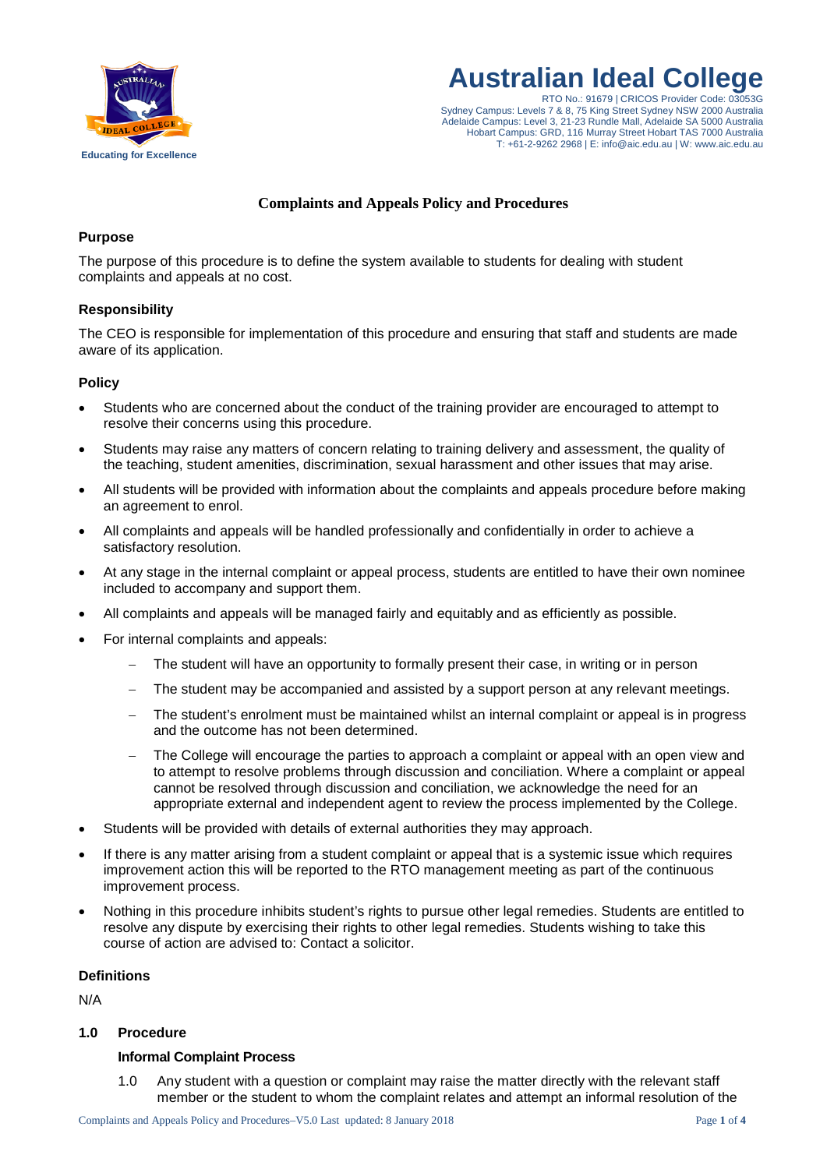

**Australian Ideal College**

RTO No.: 91679 | CRICOS Provider Code: 03053G Sydney Campus: Levels 7 & 8, 75 King Street Sydney NSW 2000 Australia Adelaide Campus: Level 3, 21-23 Rundle Mall, Adelaide SA 5000 Australia Hobart Campus: GRD, 116 Murray Street Hobart TAS 7000 Australia T: +61-2-9262 2968 | E: info@aic.edu.au | W: www.aic.edu.au

## **Complaints and Appeals Policy and Procedures**

# **Purpose**

The purpose of this procedure is to define the system available to students for dealing with student complaints and appeals at no cost.

# **Responsibility**

The CEO is responsible for implementation of this procedure and ensuring that staff and students are made aware of its application.

# **Policy**

- Students who are concerned about the conduct of the training provider are encouraged to attempt to resolve their concerns using this procedure.
- Students may raise any matters of concern relating to training delivery and assessment, the quality of the teaching, student amenities, discrimination, sexual harassment and other issues that may arise.
- All students will be provided with information about the complaints and appeals procedure before making an agreement to enrol.
- All complaints and appeals will be handled professionally and confidentially in order to achieve a satisfactory resolution.
- At any stage in the internal complaint or appeal process, students are entitled to have their own nominee included to accompany and support them.
- All complaints and appeals will be managed fairly and equitably and as efficiently as possible.
- For internal complaints and appeals:
	- The student will have an opportunity to formally present their case, in writing or in person
	- The student may be accompanied and assisted by a support person at any relevant meetings.
	- The student's enrolment must be maintained whilst an internal complaint or appeal is in progress and the outcome has not been determined.
	- The College will encourage the parties to approach a complaint or appeal with an open view and to attempt to resolve problems through discussion and conciliation. Where a complaint or appeal cannot be resolved through discussion and conciliation, we acknowledge the need for an appropriate external and independent agent to review the process implemented by the College.
- Students will be provided with details of external authorities they may approach.
- If there is any matter arising from a student complaint or appeal that is a systemic issue which requires improvement action this will be reported to the RTO management meeting as part of the continuous improvement process.
- Nothing in this procedure inhibits student's rights to pursue other legal remedies. Students are entitled to resolve any dispute by exercising their rights to other legal remedies. Students wishing to take this course of action are advised to: Contact a solicitor.

### **Definitions**

N/A

## **1.0 Procedure**

### **Informal Complaint Process**

1.0 Any student with a question or complaint may raise the matter directly with the relevant staff member or the student to whom the complaint relates and attempt an informal resolution of the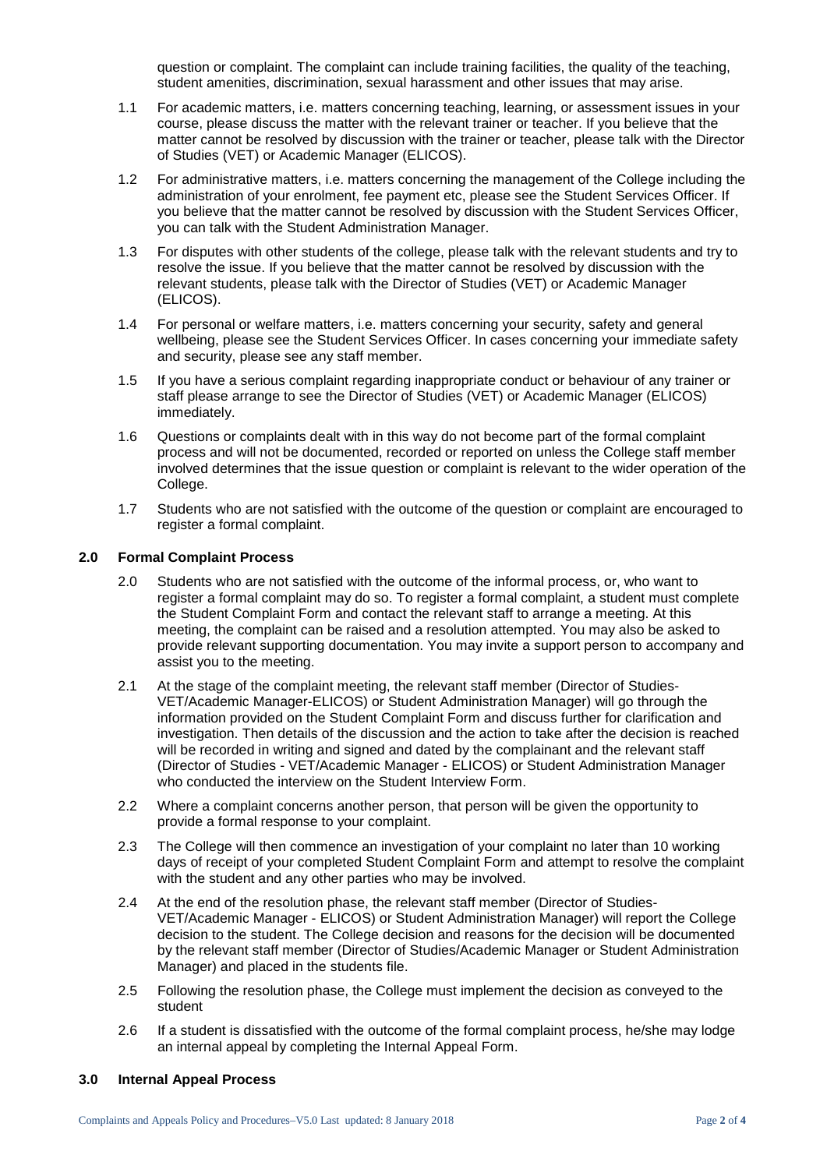question or complaint. The complaint can include training facilities, the quality of the teaching, student amenities, discrimination, sexual harassment and other issues that may arise.

- 1.1 For academic matters, i.e. matters concerning teaching, learning, or assessment issues in your course, please discuss the matter with the relevant trainer or teacher. If you believe that the matter cannot be resolved by discussion with the trainer or teacher, please talk with the Director of Studies (VET) or Academic Manager (ELICOS).
- 1.2 For administrative matters, i.e. matters concerning the management of the College including the administration of your enrolment, fee payment etc, please see the Student Services Officer. If you believe that the matter cannot be resolved by discussion with the Student Services Officer, you can talk with the Student Administration Manager.
- 1.3 For disputes with other students of the college, please talk with the relevant students and try to resolve the issue. If you believe that the matter cannot be resolved by discussion with the relevant students, please talk with the Director of Studies (VET) or Academic Manager (ELICOS).
- 1.4 For personal or welfare matters, i.e. matters concerning your security, safety and general wellbeing, please see the Student Services Officer. In cases concerning your immediate safety and security, please see any staff member.
- 1.5 If you have a serious complaint regarding inappropriate conduct or behaviour of any trainer or staff please arrange to see the Director of Studies (VET) or Academic Manager (ELICOS) immediately.
- 1.6 Questions or complaints dealt with in this way do not become part of the formal complaint process and will not be documented, recorded or reported on unless the College staff member involved determines that the issue question or complaint is relevant to the wider operation of the College.
- 1.7 Students who are not satisfied with the outcome of the question or complaint are encouraged to register a formal complaint.

## **2.0 Formal Complaint Process**

- 2.0 Students who are not satisfied with the outcome of the informal process, or, who want to register a formal complaint may do so. To register a formal complaint, a student must complete the Student Complaint Form and contact the relevant staff to arrange a meeting. At this meeting, the complaint can be raised and a resolution attempted. You may also be asked to provide relevant supporting documentation. You may invite a support person to accompany and assist you to the meeting.
- 2.1 At the stage of the complaint meeting, the relevant staff member (Director of Studies-VET/Academic Manager-ELICOS) or Student Administration Manager) will go through the information provided on the Student Complaint Form and discuss further for clarification and investigation. Then details of the discussion and the action to take after the decision is reached will be recorded in writing and signed and dated by the complainant and the relevant staff (Director of Studies - VET/Academic Manager - ELICOS) or Student Administration Manager who conducted the interview on the Student Interview Form.
- 2.2 Where a complaint concerns another person, that person will be given the opportunity to provide a formal response to your complaint.
- 2.3 The College will then commence an investigation of your complaint no later than 10 working days of receipt of your completed Student Complaint Form and attempt to resolve the complaint with the student and any other parties who may be involved.
- 2.4 At the end of the resolution phase, the relevant staff member (Director of Studies-VET/Academic Manager - ELICOS) or Student Administration Manager) will report the College decision to the student. The College decision and reasons for the decision will be documented by the relevant staff member (Director of Studies/Academic Manager or Student Administration Manager) and placed in the students file.
- 2.5 Following the resolution phase, the College must implement the decision as conveyed to the student
- 2.6 If a student is dissatisfied with the outcome of the formal complaint process, he/she may lodge an internal appeal by completing the Internal Appeal Form.

## **3.0 Internal Appeal Process**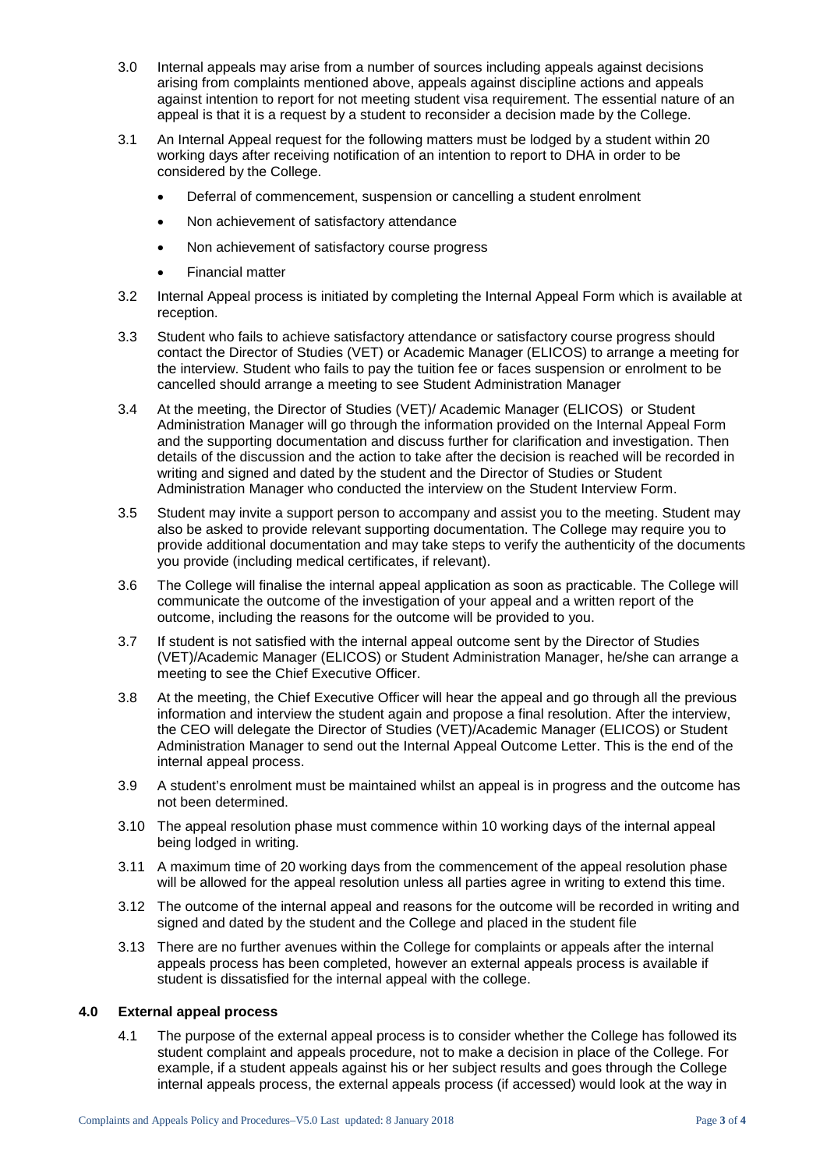- 3.0 Internal appeals may arise from a number of sources including appeals against decisions arising from complaints mentioned above, appeals against discipline actions and appeals against intention to report for not meeting student visa requirement. The essential nature of an appeal is that it is a request by a student to reconsider a decision made by the College.
- 3.1 An Internal Appeal request for the following matters must be lodged by a student within 20 working days after receiving notification of an intention to report to DHA in order to be considered by the College.
	- Deferral of commencement, suspension or cancelling a student enrolment
	- Non achievement of satisfactory attendance
	- Non achievement of satisfactory course progress
	- Financial matter
- 3.2 Internal Appeal process is initiated by completing the Internal Appeal Form which is available at reception.
- 3.3 Student who fails to achieve satisfactory attendance or satisfactory course progress should contact the Director of Studies (VET) or Academic Manager (ELICOS) to arrange a meeting for the interview. Student who fails to pay the tuition fee or faces suspension or enrolment to be cancelled should arrange a meeting to see Student Administration Manager
- 3.4 At the meeting, the Director of Studies (VET)/ Academic Manager (ELICOS) or Student Administration Manager will go through the information provided on the Internal Appeal Form and the supporting documentation and discuss further for clarification and investigation. Then details of the discussion and the action to take after the decision is reached will be recorded in writing and signed and dated by the student and the Director of Studies or Student Administration Manager who conducted the interview on the Student Interview Form.
- 3.5 Student may invite a support person to accompany and assist you to the meeting. Student may also be asked to provide relevant supporting documentation. The College may require you to provide additional documentation and may take steps to verify the authenticity of the documents you provide (including medical certificates, if relevant).
- 3.6 The College will finalise the internal appeal application as soon as practicable. The College will communicate the outcome of the investigation of your appeal and a written report of the outcome, including the reasons for the outcome will be provided to you.
- 3.7 If student is not satisfied with the internal appeal outcome sent by the Director of Studies (VET)/Academic Manager (ELICOS) or Student Administration Manager, he/she can arrange a meeting to see the Chief Executive Officer.
- 3.8 At the meeting, the Chief Executive Officer will hear the appeal and go through all the previous information and interview the student again and propose a final resolution. After the interview, the CEO will delegate the Director of Studies (VET)/Academic Manager (ELICOS) or Student Administration Manager to send out the Internal Appeal Outcome Letter. This is the end of the internal appeal process.
- 3.9 A student's enrolment must be maintained whilst an appeal is in progress and the outcome has not been determined.
- 3.10 The appeal resolution phase must commence within 10 working days of the internal appeal being lodged in writing.
- 3.11 A maximum time of 20 working days from the commencement of the appeal resolution phase will be allowed for the appeal resolution unless all parties agree in writing to extend this time.
- 3.12 The outcome of the internal appeal and reasons for the outcome will be recorded in writing and signed and dated by the student and the College and placed in the student file
- 3.13 There are no further avenues within the College for complaints or appeals after the internal appeals process has been completed, however an external appeals process is available if student is dissatisfied for the internal appeal with the college.

### **4.0 External appeal process**

4.1 The purpose of the external appeal process is to consider whether the College has followed its student complaint and appeals procedure, not to make a decision in place of the College. For example, if a student appeals against his or her subject results and goes through the College internal appeals process, the external appeals process (if accessed) would look at the way in